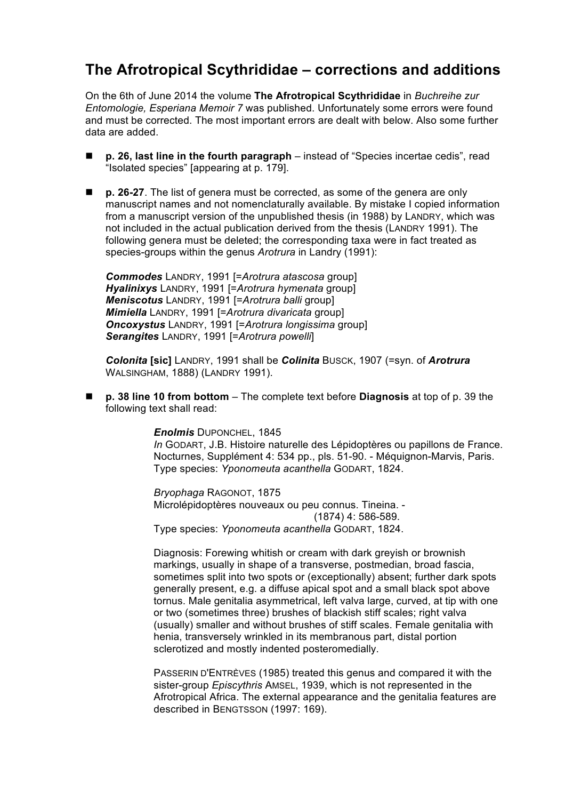## **The Afrotropical Scythrididae – corrections and additions**

On the 6th of June 2014 the volume **The Afrotropical Scythrididae** in *Buchreihe zur Entomologie, Esperiana Memoir 7* was published. Unfortunately some errors were found and must be corrected. The most important errors are dealt with below. Also some further data are added.

- **p. 26, last line in the fourth paragraph** instead of "Species incertae cedis", read "Isolated species" [appearing at p. 179].
- p. 26-27. The list of genera must be corrected, as some of the genera are only manuscript names and not nomenclaturally available. By mistake I copied information from a manuscript version of the unpublished thesis (in 1988) by LANDRY, which was not included in the actual publication derived from the thesis (LANDRY 1991). The following genera must be deleted; the corresponding taxa were in fact treated as species-groups within the genus *Arotrura* in Landry (1991):

*Commodes* LANDRY, 1991 [=*Arotrura atascosa* group] *Hyalinixys* LANDRY, 1991 [=*Arotrura hymenata* group] *Meniscotus* LANDRY, 1991 [=*Arotrura balli* group] *Mimiella* LANDRY, 1991 [=*Arotrura divaricata* group] *Oncoxystus* LANDRY, 1991 [=*Arotrura longissima* group] *Serangites* LANDRY, 1991 [=*Arotrura powelli*]

*Colonita* **[sic]** LANDRY, 1991 shall be *Colinita* BUSCK, 1907 (=syn. of *Arotrura* WALSINGHAM, 1888) (LANDRY 1991).

n **p. 38 line 10 from bottom** – The complete text before **Diagnosis** at top of p. 39 the following text shall read:

> *Enolmis* DUPONCHEL, 1845 *In* GODART, J.B. Histoire naturelle des Lépidoptères ou papillons de France. Nocturnes, Supplément 4: 534 pp., pls. 51-90. - Méquignon-Marvis, Paris. Type species: *Yponomeuta acanthella* GODART, 1824.

*Bryophaga* RAGONOT, 1875 Microlépidoptères nouveaux ou peu connus. Tineina. - $(1874)$  4: 586-589. Type species: *Yponomeuta acanthella* GODART, 1824.

Diagnosis: Forewing whitish or cream with dark greyish or brownish markings, usually in shape of a transverse, postmedian, broad fascia, sometimes split into two spots or (exceptionally) absent; further dark spots generally present, e.g. a diffuse apical spot and a small black spot above tornus. Male genitalia asymmetrical, left valva large, curved, at tip with one or two (sometimes three) brushes of blackish stiff scales; right valva (usually) smaller and without brushes of stiff scales. Female genitalia with henia, transversely wrinkled in its membranous part, distal portion sclerotized and mostly indented posteromedially.

PASSERIN D'ENTRÈVES (1985) treated this genus and compared it with the sister-group *Episcythris* AMSEL, 1939, which is not represented in the Afrotropical Africa. The external appearance and the genitalia features are described in BENGTSSON (1997: 169).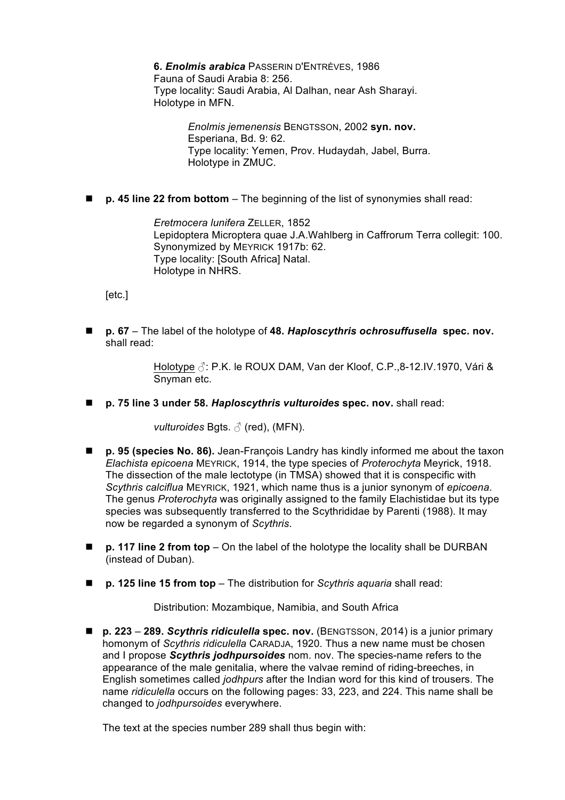**6.** *Enolmis arabica* PASSERIN D'ENTRÈVES, 1986 Fauna of Saudi Arabia 8: 256. Type locality: Saudi Arabia, Al Dalhan, near Ash Sharayi. Holotype in MFN.

> *Enolmis jemenensis* BENGTSSON, 2002 **syn. nov.** Esperiana, Bd. 9: 62. Type locality: Yemen, Prov. Hudaydah, Jabel, Burra. Holotype in ZMUC.

■ **p. 45 line 22 from bottom** – The beginning of the list of synonymies shall read:

*Eretmocera lunifera* ZELLER, 1852 Lepidoptera Microptera quae J.A.Wahlberg in Caffrorum Terra collegit: 100. Synonymized by MEYRICK 1917b: 62. Type locality: [South Africa] Natal. Holotype in NHRS.

[etc.]

■ **p. 67** – The label of the holotype of 48. *Haploscythris ochrosuffusella* spec. nov. shall read:

> Holotype **♂**: P.K. le ROUX DAM, Van der Kloof, C.P.,8-12.IV.1970, Vári & Snyman etc.

■ p. 75 line 3 under 58. *Haploscythris vulturoides* spec. nov. shall read:

*vulturoides* Bgts. **♂** (red), (MFN).

- **p. 95 (species No. 86).** Jean-François Landry has kindly informed me about the taxon *Elachista epicoena* MEYRICK, 1914, the type species of *Proterochyta* Meyrick, 1918. The dissection of the male lectotype (in TMSA) showed that it is conspecific with *Scythris calciflua* MEYRICK, 1921, which name thus is a junior synonym of *epicoena*. The genus *Proterochyta* was originally assigned to the family Elachistidae but its type species was subsequently transferred to the Scythrididae by Parenti (1988). It may now be regarded a synonym of *Scythris*.
- **p. 117 line 2 from top** On the label of the holotype the locality shall be DURBAN (instead of Duban).
- **p. 125 line 15 from top** The distribution for *Scythris aquaria* shall read:

Distribution: Mozambique, Namibia, and South Africa

■ **p. 223 – 289. Scythris ridiculella spec. nov.** (BENGTSSON, 2014) is a junior primary homonym of *Scythris ridiculella* CARADJA, 1920. Thus a new name must be chosen and I propose *Scythris jodhpursoides* nom. nov. The species-name refers to the appearance of the male genitalia, where the valvae remind of riding-breeches, in English sometimes called *jodhpurs* after the Indian word for this kind of trousers. The name *ridiculella* occurs on the following pages: 33, 223, and 224. This name shall be changed to *jodhpursoides* everywhere.

The text at the species number 289 shall thus begin with: